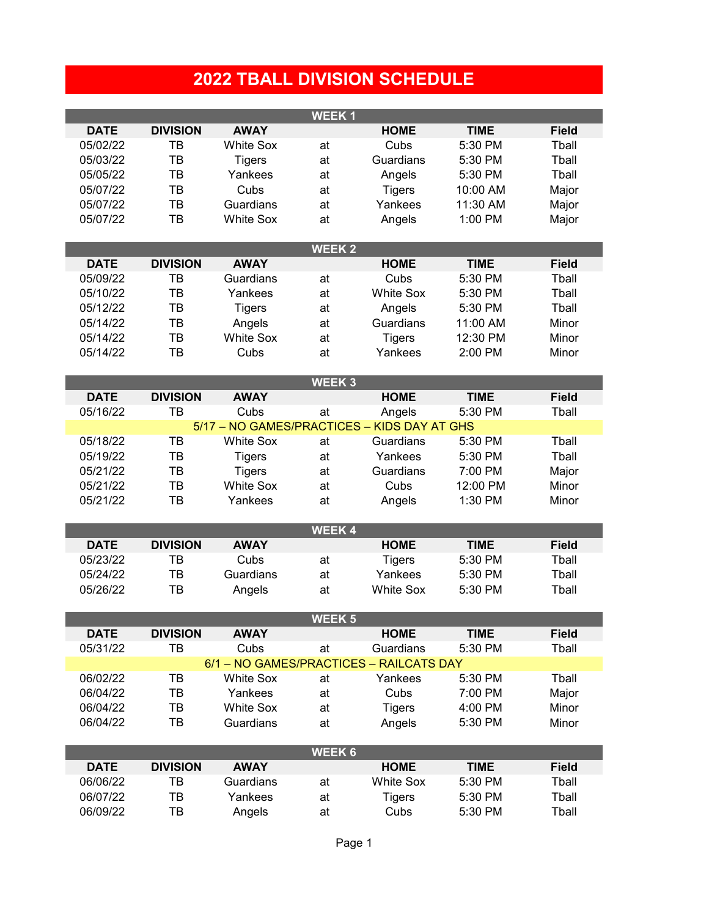## **2022 TBALL DIVISION SCHEDULE**

| <b>WEEK1</b> |                 |                  |                   |                                             |             |              |  |  |  |  |
|--------------|-----------------|------------------|-------------------|---------------------------------------------|-------------|--------------|--|--|--|--|
| <b>DATE</b>  | <b>DIVISION</b> | <b>AWAY</b>      |                   | <b>HOME</b>                                 | <b>TIME</b> | <b>Field</b> |  |  |  |  |
| 05/02/22     | TB              | <b>White Sox</b> | at                | Cubs                                        | 5:30 PM     | Tball        |  |  |  |  |
| 05/03/22     | TB              | Tigers           | at                | Guardians                                   | 5:30 PM     | Tball        |  |  |  |  |
| 05/05/22     | TB              | Yankees          | at                | Angels                                      | 5:30 PM     | Tball        |  |  |  |  |
| 05/07/22     | TB              | Cubs             | at                | <b>Tigers</b>                               | 10:00 AM    | Major        |  |  |  |  |
| 05/07/22     | TB              | Guardians        | at                | Yankees                                     | 11:30 AM    | Major        |  |  |  |  |
| 05/07/22     | TB              | <b>White Sox</b> | at                | Angels                                      | 1:00 PM     | Major        |  |  |  |  |
|              |                 |                  |                   |                                             |             |              |  |  |  |  |
|              |                 |                  | <b>WEEK2</b>      |                                             |             |              |  |  |  |  |
| <b>DATE</b>  | <b>DIVISION</b> | <b>AWAY</b>      |                   | <b>HOME</b>                                 | <b>TIME</b> | <b>Field</b> |  |  |  |  |
| 05/09/22     | TB              | Guardians        | at                | Cubs                                        | 5:30 PM     | Tball        |  |  |  |  |
| 05/10/22     | TB              | Yankees          | at                | <b>White Sox</b>                            | 5:30 PM     | Tball        |  |  |  |  |
| 05/12/22     | TB              | <b>Tigers</b>    | at                | Angels                                      | 5:30 PM     | Tball        |  |  |  |  |
| 05/14/22     | TB              | Angels           | at                | Guardians                                   | 11:00 AM    | Minor        |  |  |  |  |
| 05/14/22     | TB              | <b>White Sox</b> | at                | <b>Tigers</b>                               | 12:30 PM    | Minor        |  |  |  |  |
| 05/14/22     | TB              | Cubs             | at                | Yankees                                     | 2:00 PM     | Minor        |  |  |  |  |
|              |                 |                  |                   |                                             |             |              |  |  |  |  |
|              |                 |                  | WEEK <sub>3</sub> |                                             |             |              |  |  |  |  |
| <b>DATE</b>  | <b>DIVISION</b> | <b>AWAY</b>      |                   | <b>HOME</b>                                 | <b>TIME</b> | <b>Field</b> |  |  |  |  |
| 05/16/22     | TB              | Cubs             | at                | Angels                                      | 5:30 PM     | Tball        |  |  |  |  |
|              |                 |                  |                   | 5/17 - NO GAMES/PRACTICES - KIDS DAY AT GHS |             |              |  |  |  |  |
| 05/18/22     | TB              | <b>White Sox</b> | at                | Guardians                                   | 5:30 PM     | Tball        |  |  |  |  |
| 05/19/22     | TB              | <b>Tigers</b>    | at                | Yankees                                     | 5:30 PM     | Tball        |  |  |  |  |
| 05/21/22     | TB              | <b>Tigers</b>    | at                | Guardians                                   | 7:00 PM     | Major        |  |  |  |  |
| 05/21/22     | TB              | <b>White Sox</b> | at                | Cubs                                        | 12:00 PM    | Minor        |  |  |  |  |
| 05/21/22     | TB              | Yankees          | at                | Angels                                      | 1:30 PM     | Minor        |  |  |  |  |
|              |                 |                  |                   |                                             |             |              |  |  |  |  |
|              |                 |                  | <b>WEEK4</b>      |                                             |             |              |  |  |  |  |
| <b>DATE</b>  | <b>DIVISION</b> | <b>AWAY</b>      |                   | <b>HOME</b>                                 | <b>TIME</b> | <b>Field</b> |  |  |  |  |
| 05/23/22     | TB              | Cubs             | at                | <b>Tigers</b>                               | 5:30 PM     | Tball        |  |  |  |  |
| 05/24/22     | TB              | Guardians        | at                | Yankees                                     | 5:30 PM     | Tball        |  |  |  |  |
| 05/26/22     | TB              | Angels           | at                | <b>White Sox</b>                            | 5:30 PM     | Tball        |  |  |  |  |
|              |                 |                  |                   |                                             |             |              |  |  |  |  |
|              |                 |                  | <b>WEEK 5</b>     |                                             |             |              |  |  |  |  |
| <b>DATE</b>  | <b>DIVISION</b> | <b>AWAY</b>      |                   | <b>HOME</b>                                 | <b>TIME</b> | <b>Field</b> |  |  |  |  |
| 05/31/22     | TB              | Cubs             | at                | Guardians                                   | 5:30 PM     | Tball        |  |  |  |  |
|              |                 |                  |                   | 6/1 - NO GAMES/PRACTICES - RAILCATS DAY     |             |              |  |  |  |  |
| 06/02/22     | TB              | <b>White Sox</b> | at                | Yankees                                     | 5:30 PM     | Tball        |  |  |  |  |
| 06/04/22     | TB              | Yankees          | at                | Cubs                                        | 7:00 PM     | Major        |  |  |  |  |
| 06/04/22     | TB              | <b>White Sox</b> | at                | <b>Tigers</b>                               | 4:00 PM     | Minor        |  |  |  |  |
| 06/04/22     | TB              | Guardians        | at                | Angels                                      | 5:30 PM     | Minor        |  |  |  |  |
|              |                 |                  | <b>WEEK6</b>      |                                             |             |              |  |  |  |  |
| <b>DATE</b>  | <b>DIVISION</b> | <b>AWAY</b>      |                   | <b>HOME</b>                                 | <b>TIME</b> | <b>Field</b> |  |  |  |  |
| 06/06/22     | ТB              | Guardians        | at                | <b>White Sox</b>                            | 5:30 PM     | Tball        |  |  |  |  |
| 06/07/22     | TB              | Yankees          |                   |                                             | 5:30 PM     | Tball        |  |  |  |  |
| 06/09/22     | TB              |                  | at                | <b>Tigers</b><br>Cubs                       | 5:30 PM     | Tball        |  |  |  |  |
|              |                 | Angels           | at                |                                             |             |              |  |  |  |  |